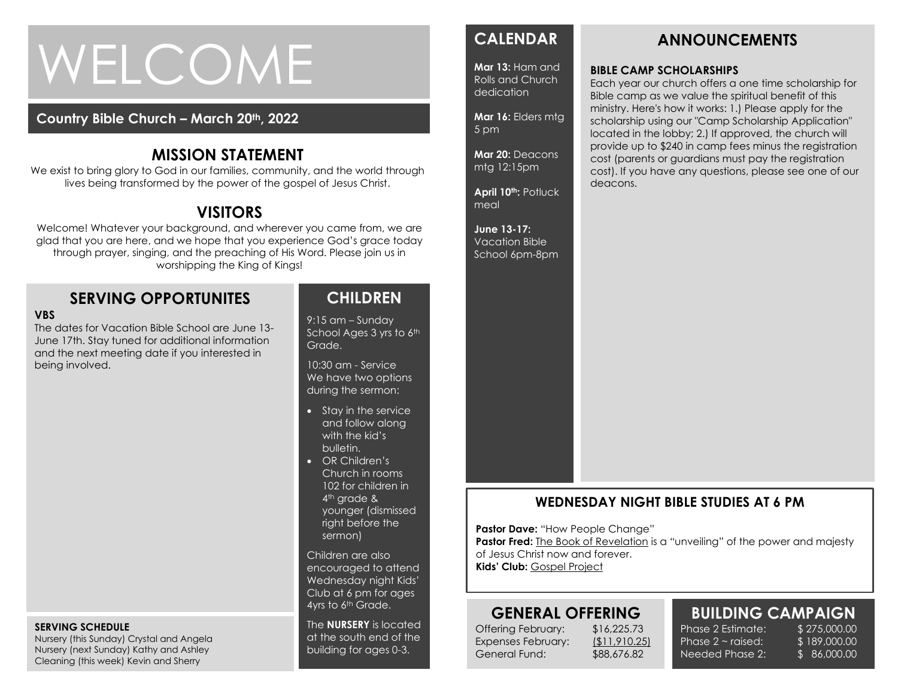# WELCOME

#### **Country Bible Church – March 20th, 2022**

#### **MISSION STATEMENT**

We exist to bring glory to God in our families, community, and the world through lives being transformed by the power of the gospel of Jesus Christ.

# **VISITORS**

Welcome! Whatever your background, and wherever you came from, we are glad that you are here, and we hope that you experience God's grace today through prayer, singing, and the preaching of His Word. Please join us in worshipping the King of Kings!

#### **SERVING OPPORTUNITES**

#### **VBS**

The dates for Vacation Bible School are June 13- June 17th. Stay tuned for additional information and the next meeting date if you interested in being involved.

#### **SERVING SCHEDULE**

Nursery (this Sunday) Crystal and Angela Nursery (next Sunday) Kathy and Ashley Cleaning (this week) Kevin and Sherry

#### **CHILDREN**

9:15 am – Sunday School Ages 3 yrs to 6th Grade.

10:30 am - Service We have two options during the sermon:

- Stay in the service and follow along with the kid's bulletin.
- OR Children's Church in rooms 102 for children in 4<sup>th</sup> grade & younger (dismissed right before the sermon)

Children are also encouraged to attend Wednesday night Kids' Club at 6 pm for ages 4yrs to 6<sup>th</sup> Grade.

The **NURSERY** is located at the south end of the building for ages 0-3.

#### **CALENDAR**

**Mar 13:** Ham and Rolls and Church dedication

**Mar 16:** Elders mtg 5 pm

**Mar 20:** Deacons mtg 12:15pm

**April 10 th:** Potluck meal

**June 13-17:**  Vacation Bible School 6pm-8pm

# **BIBLE CAMP SCHOLARSHIPS**

Each year our church offers a one time scholarship for Bible camp as we value the spiritual benefit of this ministry. Here's how it works: 1.) Please apply for the scholarship using our "Camp Scholarship Application" located in the lobby; 2.) If approved, the church will provide up to \$240 in camp fees minus the registration cost (parents or guardians must pay the registration cost). If you have any questions, please see one of our deacons.

**ANNOUNCEMENTS**

#### **WEDNESDAY NIGHT BIBLE STUDIES AT 6 PM**

**Pastor Dave: "How People Change"** 

**Pastor Fred:** The Book of Revelation is a "unveiling" of the power and majesty of Jesus Christ now and forever. **Kids' Club:** Gospel Project

**GENERAL OFFERING**

Offering February: \$16,225.73 Expenses February: (\$11,910.25) General Fund: \$88,676.82

# **BUILDING CAMPAIGN**

Phase 2 Estimate: \$275,000.00 Phase  $2 \sim$  raised: Needed Phase 2:

\$ 189,000.00 \$ 86,000.00